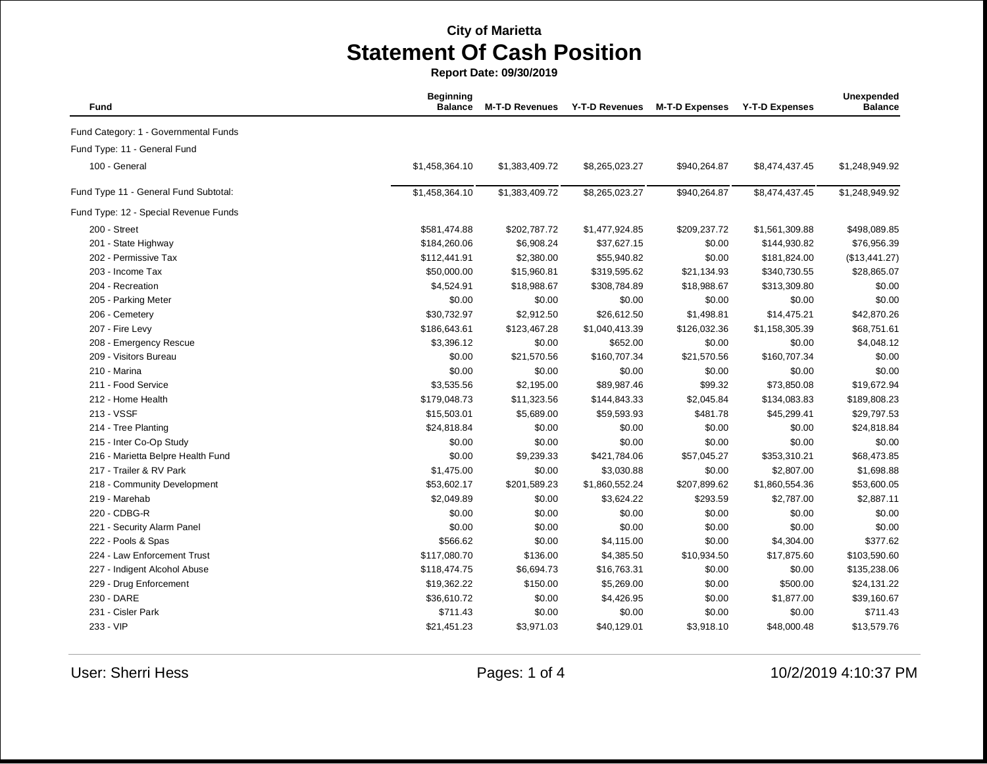| Fund                                  | <b>Beginning</b><br><b>Balance</b> | <b>M-T-D Revenues</b> | <b>Y-T-D Revenues</b> | <b>M-T-D Expenses</b> | <b>Y-T-D Expenses</b> | Unexpended<br><b>Balance</b> |
|---------------------------------------|------------------------------------|-----------------------|-----------------------|-----------------------|-----------------------|------------------------------|
| Fund Category: 1 - Governmental Funds |                                    |                       |                       |                       |                       |                              |
| Fund Type: 11 - General Fund          |                                    |                       |                       |                       |                       |                              |
| 100 - General                         | \$1,458,364.10                     | \$1,383,409.72        | \$8,265,023.27        | \$940,264.87          | \$8,474,437.45        | \$1,248,949.92               |
| Fund Type 11 - General Fund Subtotal: | \$1,458,364.10                     | \$1,383,409.72        | \$8,265,023.27        | \$940,264.87          | \$8,474,437.45        | \$1,248,949.92               |
| Fund Type: 12 - Special Revenue Funds |                                    |                       |                       |                       |                       |                              |
| 200 - Street                          | \$581,474.88                       | \$202,787.72          | \$1,477,924.85        | \$209,237.72          | \$1,561,309.88        | \$498,089.85                 |
| 201 - State Highway                   | \$184,260.06                       | \$6,908.24            | \$37,627.15           | \$0.00                | \$144,930.82          | \$76,956.39                  |
| 202 - Permissive Tax                  | \$112,441.91                       | \$2,380.00            | \$55,940.82           | \$0.00                | \$181,824.00          | (\$13,441.27)                |
| 203 - Income Tax                      | \$50,000.00                        | \$15,960.81           | \$319,595.62          | \$21,134.93           | \$340,730.55          | \$28,865.07                  |
| 204 - Recreation                      | \$4,524.91                         | \$18,988.67           | \$308,784.89          | \$18,988.67           | \$313,309.80          | \$0.00                       |
| 205 - Parking Meter                   | \$0.00                             | \$0.00                | \$0.00                | \$0.00                | \$0.00                | \$0.00                       |
| 206 - Cemetery                        | \$30,732.97                        | \$2,912.50            | \$26,612.50           | \$1,498.81            | \$14,475.21           | \$42,870.26                  |
| 207 - Fire Levy                       | \$186,643.61                       | \$123,467.28          | \$1,040,413.39        | \$126,032.36          | \$1,158,305.39        | \$68,751.61                  |
| 208 - Emergency Rescue                | \$3,396.12                         | \$0.00                | \$652.00              | \$0.00                | \$0.00                | \$4,048.12                   |
| 209 - Visitors Bureau                 | \$0.00                             | \$21,570.56           | \$160,707.34          | \$21,570.56           | \$160,707.34          | \$0.00                       |
| 210 - Marina                          | \$0.00                             | \$0.00                | \$0.00                | \$0.00                | \$0.00                | \$0.00                       |
| 211 - Food Service                    | \$3,535.56                         | \$2,195.00            | \$89,987.46           | \$99.32               | \$73,850.08           | \$19,672.94                  |
| 212 - Home Health                     | \$179,048.73                       | \$11,323.56           | \$144,843.33          | \$2,045.84            | \$134,083.83          | \$189,808.23                 |
| 213 - VSSF                            | \$15,503.01                        | \$5,689.00            | \$59,593.93           | \$481.78              | \$45,299.41           | \$29,797.53                  |
| 214 - Tree Planting                   | \$24,818.84                        | \$0.00                | \$0.00                | \$0.00                | \$0.00                | \$24,818.84                  |
| 215 - Inter Co-Op Study               | \$0.00                             | \$0.00                | \$0.00                | \$0.00                | \$0.00                | \$0.00                       |
| 216 - Marietta Belpre Health Fund     | \$0.00                             | \$9,239.33            | \$421,784.06          | \$57,045.27           | \$353,310.21          | \$68,473.85                  |
| 217 - Trailer & RV Park               | \$1,475.00                         | \$0.00                | \$3,030.88            | \$0.00                | \$2,807.00            | \$1,698.88                   |
| 218 - Community Development           | \$53,602.17                        | \$201,589.23          | \$1,860,552.24        | \$207,899.62          | \$1,860,554.36        | \$53,600.05                  |
| 219 - Marehab                         | \$2,049.89                         | \$0.00                | \$3,624.22            | \$293.59              | \$2,787.00            | \$2,887.11                   |
| 220 - CDBG-R                          | \$0.00                             | \$0.00                | \$0.00                | \$0.00                | \$0.00                | \$0.00                       |
| 221 - Security Alarm Panel            | \$0.00                             | \$0.00                | \$0.00                | \$0.00                | \$0.00                | \$0.00                       |
| 222 - Pools & Spas                    | \$566.62                           | \$0.00                | \$4,115.00            | \$0.00                | \$4,304.00            | \$377.62                     |
| 224 - Law Enforcement Trust           | \$117,080.70                       | \$136.00              | \$4,385.50            | \$10,934.50           | \$17,875.60           | \$103,590.60                 |
| 227 - Indigent Alcohol Abuse          | \$118,474.75                       | \$6,694.73            | \$16,763.31           | \$0.00                | \$0.00                | \$135,238.06                 |
| 229 - Drug Enforcement                | \$19,362.22                        | \$150.00              | \$5,269.00            | \$0.00                | \$500.00              | \$24,131.22                  |
| 230 - DARE                            | \$36,610.72                        | \$0.00                | \$4,426.95            | \$0.00                | \$1,877.00            | \$39,160.67                  |
| 231 - Cisler Park                     | \$711.43                           | \$0.00                | \$0.00                | \$0.00                | \$0.00                | \$711.43                     |
| 233 - VIP                             | \$21,451.23                        | \$3,971.03            | \$40,129.01           | \$3,918.10            | \$48,000.48           | \$13,579.76                  |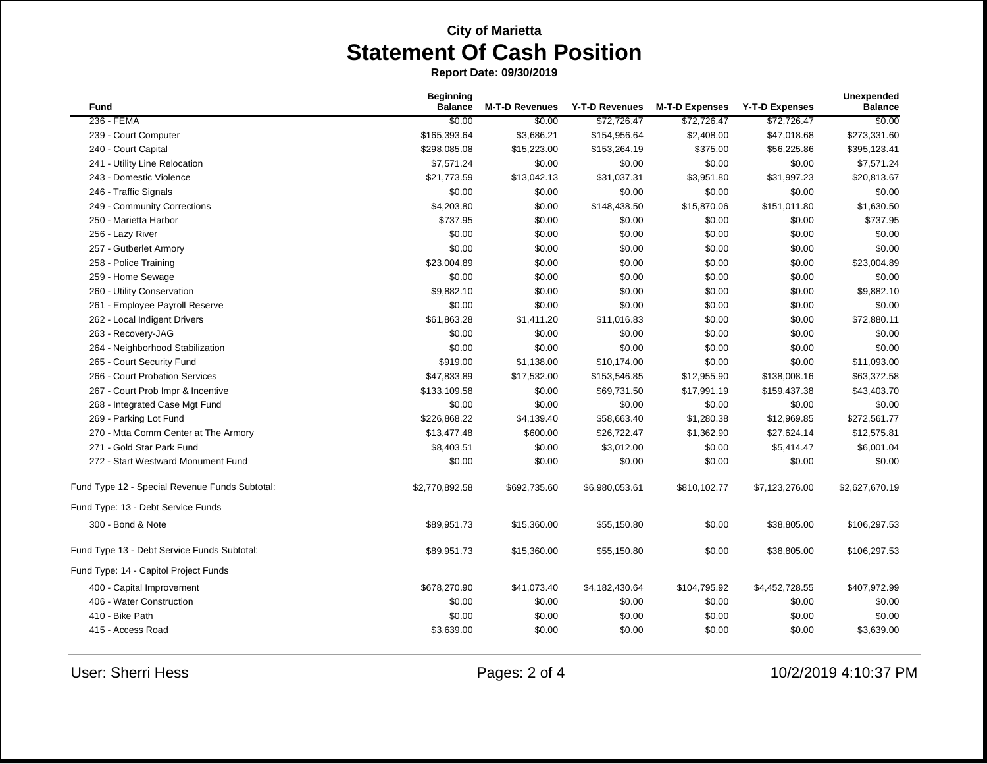|                                                | <b>Beginning</b> |                       |                       |                       |                       | Unexpended<br><b>Balance</b> |
|------------------------------------------------|------------------|-----------------------|-----------------------|-----------------------|-----------------------|------------------------------|
| <b>Fund</b>                                    | <b>Balance</b>   | <b>M-T-D Revenues</b> | <b>Y-T-D Revenues</b> | <b>M-T-D Expenses</b> | <b>Y-T-D Expenses</b> |                              |
| 236 - FEMA                                     | \$0.00           | \$0.00                | \$72,726.47           | \$72,726.47           | \$72,726.47           | \$0.00                       |
| 239 - Court Computer                           | \$165,393.64     | \$3,686.21            | \$154,956.64          | \$2,408.00            | \$47,018.68           | \$273,331.60                 |
| 240 - Court Capital                            | \$298,085.08     | \$15,223.00           | \$153,264.19          | \$375.00              | \$56,225.86           | \$395,123.41                 |
| 241 - Utility Line Relocation                  | \$7,571.24       | \$0.00                | \$0.00                | \$0.00                | \$0.00                | \$7,571.24                   |
| 243 - Domestic Violence                        | \$21,773.59      | \$13,042.13           | \$31,037.31           | \$3,951.80            | \$31,997.23           | \$20,813.67                  |
| 246 - Traffic Signals                          | \$0.00           | \$0.00                | \$0.00                | \$0.00                | \$0.00                | \$0.00                       |
| 249 - Community Corrections                    | \$4,203.80       | \$0.00                | \$148,438.50          | \$15,870.06           | \$151,011.80          | \$1,630.50                   |
| 250 - Marietta Harbor                          | \$737.95         | \$0.00                | \$0.00                | \$0.00                | \$0.00                | \$737.95                     |
| 256 - Lazy River                               | \$0.00           | \$0.00                | \$0.00                | \$0.00                | \$0.00                | \$0.00                       |
| 257 - Gutberlet Armory                         | \$0.00           | \$0.00                | \$0.00                | \$0.00                | \$0.00                | \$0.00                       |
| 258 - Police Training                          | \$23,004.89      | \$0.00                | \$0.00                | \$0.00                | \$0.00                | \$23,004.89                  |
| 259 - Home Sewage                              | \$0.00           | \$0.00                | \$0.00                | \$0.00                | \$0.00                | \$0.00                       |
| 260 - Utility Conservation                     | \$9,882.10       | \$0.00                | \$0.00                | \$0.00                | \$0.00                | \$9,882.10                   |
| 261 - Employee Payroll Reserve                 | \$0.00           | \$0.00                | \$0.00                | \$0.00                | \$0.00                | \$0.00                       |
| 262 - Local Indigent Drivers                   | \$61,863.28      | \$1,411.20            | \$11,016.83           | \$0.00                | \$0.00                | \$72,880.11                  |
| 263 - Recovery-JAG                             | \$0.00           | \$0.00                | \$0.00                | \$0.00                | \$0.00                | \$0.00                       |
| 264 - Neighborhood Stabilization               | \$0.00           | \$0.00                | \$0.00                | \$0.00                | \$0.00                | \$0.00                       |
| 265 - Court Security Fund                      | \$919.00         | \$1,138.00            | \$10,174.00           | \$0.00                | \$0.00                | \$11,093.00                  |
| 266 - Court Probation Services                 | \$47,833.89      | \$17,532.00           | \$153,546.85          | \$12,955.90           | \$138,008.16          | \$63,372.58                  |
| 267 - Court Prob Impr & Incentive              | \$133,109.58     | \$0.00                | \$69,731.50           | \$17,991.19           | \$159,437.38          | \$43,403.70                  |
| 268 - Integrated Case Mgt Fund                 | \$0.00           | \$0.00                | \$0.00                | \$0.00                | \$0.00                | \$0.00                       |
| 269 - Parking Lot Fund                         | \$226,868.22     | \$4,139.40            | \$58,663.40           | \$1,280.38            | \$12,969.85           | \$272,561.77                 |
| 270 - Mtta Comm Center at The Armory           | \$13,477.48      | \$600.00              | \$26,722.47           | \$1,362.90            | \$27,624.14           | \$12,575.81                  |
| 271 - Gold Star Park Fund                      | \$8,403.51       | \$0.00                | \$3,012.00            | \$0.00                | \$5,414.47            | \$6,001.04                   |
| 272 - Start Westward Monument Fund             | \$0.00           | \$0.00                | \$0.00                | \$0.00                | \$0.00                | \$0.00                       |
| Fund Type 12 - Special Revenue Funds Subtotal: | \$2,770,892.58   | \$692,735.60          | \$6,980,053.61        | \$810,102.77          | \$7,123,276.00        | \$2,627,670.19               |
| Fund Type: 13 - Debt Service Funds             |                  |                       |                       |                       |                       |                              |
| 300 - Bond & Note                              | \$89,951.73      | \$15,360.00           | \$55,150.80           | \$0.00                | \$38,805.00           | \$106,297.53                 |
| Fund Type 13 - Debt Service Funds Subtotal:    | \$89,951.73      | \$15,360.00           | \$55,150.80           | \$0.00                | \$38,805.00           | \$106,297.53                 |
| Fund Type: 14 - Capitol Project Funds          |                  |                       |                       |                       |                       |                              |
| 400 - Capital Improvement                      | \$678,270.90     | \$41,073.40           | \$4,182,430.64        | \$104,795.92          | \$4,452,728.55        | \$407,972.99                 |
| 406 - Water Construction                       | \$0.00           | \$0.00                | \$0.00                | \$0.00                | \$0.00                | \$0.00                       |
| 410 - Bike Path                                | \$0.00           | \$0.00                | \$0.00                | \$0.00                | \$0.00                | \$0.00                       |
| 415 - Access Road                              | \$3,639.00       | \$0.00                | \$0.00                | \$0.00                | \$0.00                | \$3,639.00                   |
|                                                |                  |                       |                       |                       |                       |                              |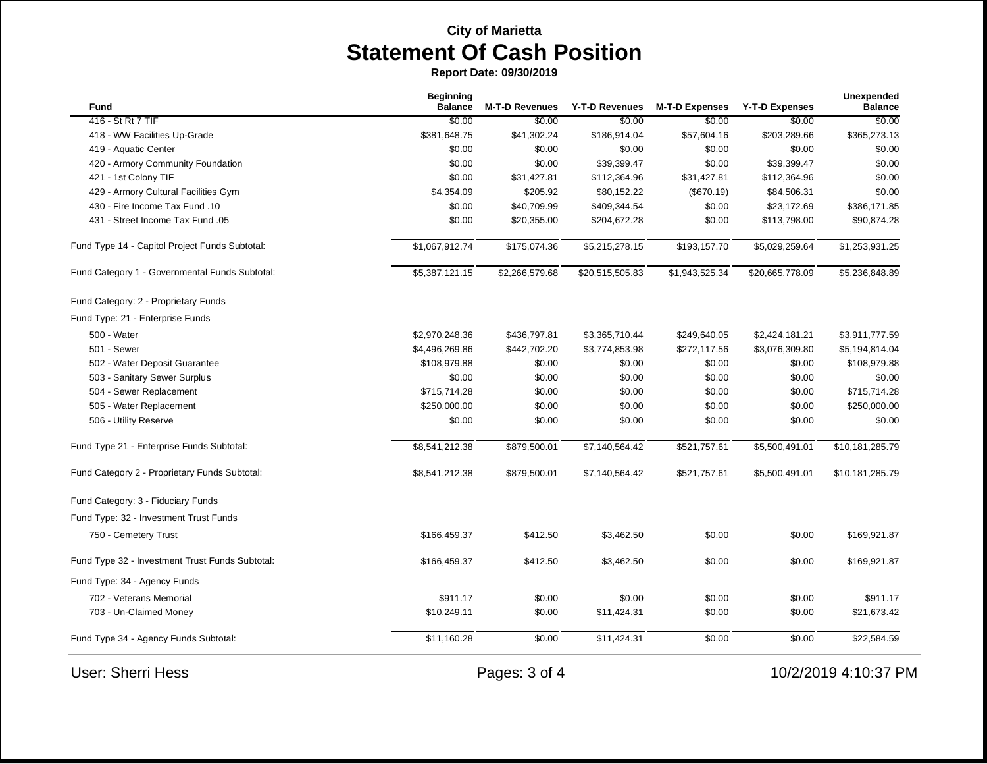| Fund                                            | <b>Beginning</b><br><b>Balance</b> | <b>M-T-D Revenues</b> | Y-T-D Revenues  | <b>M-T-D Expenses</b> | <b>Y-T-D Expenses</b> | Unexpended<br><b>Balance</b> |
|-------------------------------------------------|------------------------------------|-----------------------|-----------------|-----------------------|-----------------------|------------------------------|
| 416 - St Rt 7 TIF                               | \$0.00                             | \$0.00                | \$0.00          | \$0.00                | \$0.00                | \$0.00                       |
| 418 - WW Facilities Up-Grade                    | \$381,648.75                       | \$41,302.24           | \$186,914.04    | \$57,604.16           | \$203,289.66          | \$365,273.13                 |
| 419 - Aquatic Center                            | \$0.00                             | \$0.00                | \$0.00          | \$0.00                | \$0.00                | \$0.00                       |
| 420 - Armory Community Foundation               | \$0.00                             | \$0.00                | \$39,399.47     | \$0.00                | \$39,399.47           | \$0.00                       |
| 421 - 1st Colony TIF                            | \$0.00                             | \$31,427.81           | \$112,364.96    | \$31,427.81           | \$112,364.96          | \$0.00                       |
| 429 - Armory Cultural Facilities Gym            | \$4,354.09                         | \$205.92              | \$80,152.22     | (\$670.19)            | \$84,506.31           | \$0.00                       |
| 430 - Fire Income Tax Fund .10                  | \$0.00                             | \$40,709.99           | \$409,344.54    | \$0.00                | \$23,172.69           | \$386,171.85                 |
| 431 - Street Income Tax Fund .05                | \$0.00                             | \$20,355.00           | \$204,672.28    | \$0.00                | \$113,798.00          | \$90,874.28                  |
| Fund Type 14 - Capitol Project Funds Subtotal:  | \$1,067,912.74                     | \$175,074.36          | \$5,215,278.15  | \$193,157.70          | \$5,029,259.64        | \$1,253,931.25               |
| Fund Category 1 - Governmental Funds Subtotal:  | \$5,387,121.15                     | \$2,266,579.68        | \$20,515,505.83 | \$1,943,525.34        | \$20,665,778.09       | \$5,236,848.89               |
| Fund Category: 2 - Proprietary Funds            |                                    |                       |                 |                       |                       |                              |
| Fund Type: 21 - Enterprise Funds                |                                    |                       |                 |                       |                       |                              |
| 500 - Water                                     | \$2,970,248.36                     | \$436,797.81          | \$3,365,710.44  | \$249,640.05          | \$2,424,181.21        | \$3,911,777.59               |
| 501 - Sewer                                     | \$4,496,269.86                     | \$442,702.20          | \$3,774,853.98  | \$272,117.56          | \$3,076,309.80        | \$5,194,814.04               |
| 502 - Water Deposit Guarantee                   | \$108,979.88                       | \$0.00                | \$0.00          | \$0.00                | \$0.00                | \$108,979.88                 |
| 503 - Sanitary Sewer Surplus                    | \$0.00                             | \$0.00                | \$0.00          | \$0.00                | \$0.00                | \$0.00                       |
| 504 - Sewer Replacement                         | \$715,714.28                       | \$0.00                | \$0.00          | \$0.00                | \$0.00                | \$715,714.28                 |
| 505 - Water Replacement                         | \$250,000.00                       | \$0.00                | \$0.00          | \$0.00                | \$0.00                | \$250,000.00                 |
| 506 - Utility Reserve                           | \$0.00                             | \$0.00                | \$0.00          | \$0.00                | \$0.00                | \$0.00                       |
| Fund Type 21 - Enterprise Funds Subtotal:       | \$8,541,212.38                     | \$879,500.01          | \$7,140,564.42  | \$521,757.61          | \$5,500,491.01        | \$10,181,285.79              |
| Fund Category 2 - Proprietary Funds Subtotal:   | \$8,541,212.38                     | \$879,500.01          | \$7,140,564.42  | \$521,757.61          | \$5,500,491.01        | \$10,181,285.79              |
| Fund Category: 3 - Fiduciary Funds              |                                    |                       |                 |                       |                       |                              |
| Fund Type: 32 - Investment Trust Funds          |                                    |                       |                 |                       |                       |                              |
| 750 - Cemetery Trust                            | \$166,459.37                       | \$412.50              | \$3,462.50      | \$0.00                | \$0.00                | \$169,921.87                 |
| Fund Type 32 - Investment Trust Funds Subtotal: | \$166,459.37                       | \$412.50              | \$3,462.50      | \$0.00                | \$0.00                | \$169,921.87                 |
| Fund Type: 34 - Agency Funds                    |                                    |                       |                 |                       |                       |                              |
| 702 - Veterans Memorial                         | \$911.17                           | \$0.00                | \$0.00          | \$0.00                | \$0.00                | \$911.17                     |
| 703 - Un-Claimed Money                          | \$10,249.11                        | \$0.00                | \$11,424.31     | \$0.00                | \$0.00                | \$21,673.42                  |
| Fund Type 34 - Agency Funds Subtotal:           | \$11,160.28                        | \$0.00                | \$11,424.31     | \$0.00                | \$0.00                | \$22,584.59                  |
| <b>User: Sherri Hess</b>                        |                                    | Pages: 3 of 4         |                 |                       |                       | 10/2/2019 4:10:37 PM         |